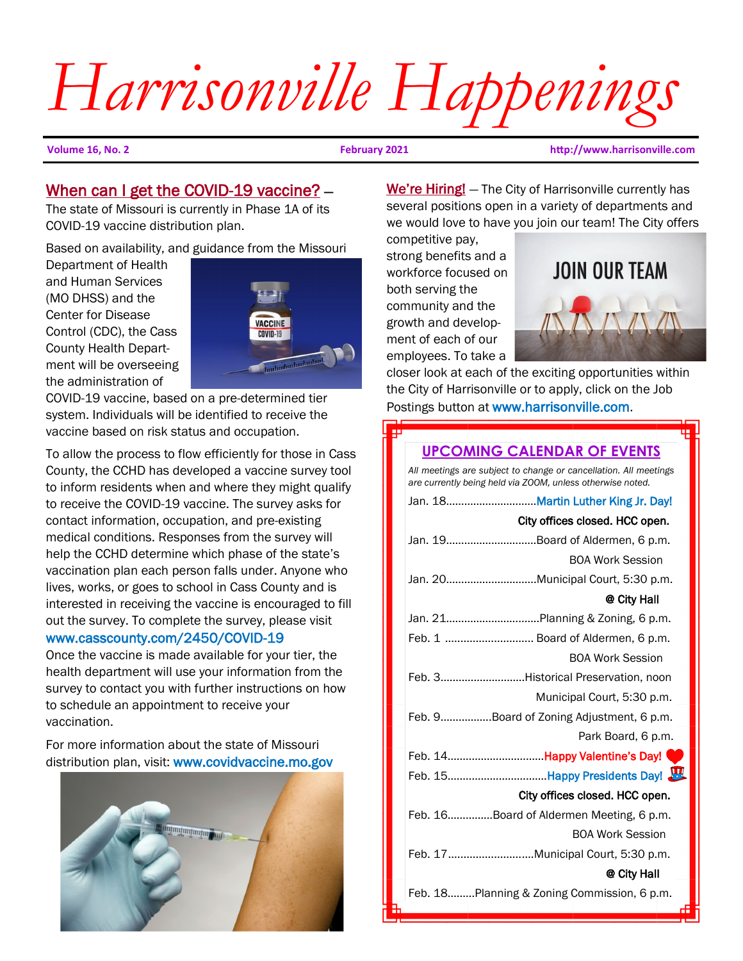# *Harrisonville Happenings*

**Volume 16, No. 2 February 2021 http://www.harrisonville.com**

## When can I get the COVID-19 vaccine? -

The state of Missouri is currently in Phase 1A of its COVID-19 vaccine distribution plan.

Based on availability, and guidance from the Missouri

Department of Health and Human Services (MO DHSS) and the Center for Disease Control (CDC), the Cass County Health Department will be overseeing the administration of



COVID-19 vaccine, based on a pre-determined tier system. Individuals will be identified to receive the vaccine based on risk status and occupation.

To allow the process to flow efficiently for those in Cass County, the CCHD has developed a vaccine survey tool to inform residents when and where they might qualify to receive the COVID-19 vaccine. The survey asks for contact information, occupation, and pre-existing medical conditions. Responses from the survey will help the CCHD determine which phase of the state's vaccination plan each person falls under. Anyone who lives, works, or goes to school in Cass County and is interested in receiving the vaccine is encouraged to fill out the survey. To complete the survey, please visit

## www.casscounty.com/2450/COVID-19

Once the vaccine is made available for your tier, the health department will use your information from the survey to contact you with further instructions on how to schedule an appointment to receive your vaccination.

For more information about the state of Missouri distribution plan, visit: www.covidvaccine.mo.gov



We're Hiring! – The City of Harrisonville currently has several positions open in a variety of departments and we would love to have you join our team! The City offers

competitive pay, strong benefits and a workforce focused on both serving the community and the growth and development of each of our employees. To take a



closer look at each of the exciting opportunities within the City of Harrisonville or to apply, click on the Job Postings button at www.harrisonville.com.

# **UPCOMING CALENDAR OF EVENTS** *All meetings are subject to change or cancellation. All meetings are currently being held via ZOOM, unless otherwise noted.*  Jan. 18…………………………Martin Luther King Jr. Day! City offices closed. HCC open. Jan. 19…………………………Board of Aldermen, 6 p.m. BOA Work Session Jan. 20……………...……..….Municipal Court, 5:30 p.m. @ City Hall Jan. 21……………………..…..Planning & Zoning, 6 p.m. Feb. 1 ............................. Board of Aldermen, 6 p.m. BOA Work Session Feb. 3…..…………………..Historical Preservation, noon Municipal Court, 5:30 p.m. Feb. 9……………..Board of Zoning Adjustment, 6 p.m. Park Board, 6 p.m. Feb. 14..................................Happy Valentine's Day! Feb. 15..................................Happy Presidents Day! City offices closed. HCC open. Feb. 16……………Board of Aldermen Meeting, 6 p.m. BOA Work Session Feb. 17........................….Municipal Court, 5:30 p.m. @ City Hall Feb. 18…..….Planning & Zoning Commission, 6 p.m.